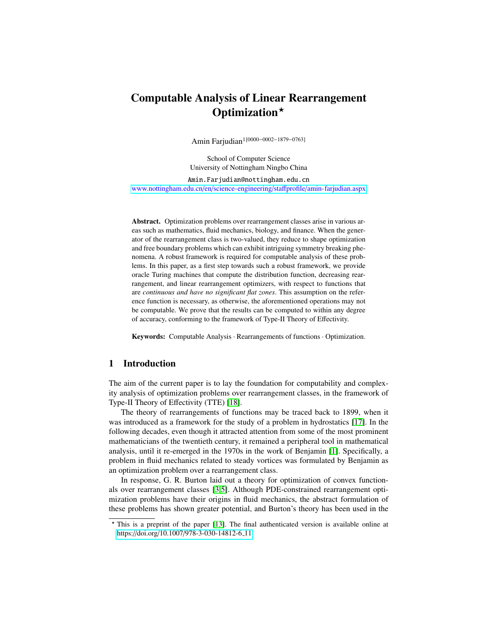# Computable Analysis of Linear Rearrangement Optimization<sup>\*</sup>

Amin Farjudian1[0000−0002−1879−0763]

School of Computer Science University of Nottingham Ningbo China

Amin.Farjudian@nottingham.edu.cn [www.nottingham.edu.cn](www.nottingham.edu.cn/en/science-engineering/staffprofile/amin-farjudian.aspx)/en/science-engineering/staffprofile/amin-farjudian.aspx

Abstract. Optimization problems over rearrangement classes arise in various areas such as mathematics, fluid mechanics, biology, and finance. When the generator of the rearrangement class is two-valued, they reduce to shape optimization and free boundary problems which can exhibit intriguing symmetry breaking phenomena. A robust framework is required for computable analysis of these problems. In this paper, as a first step towards such a robust framework, we provide oracle Turing machines that compute the distribution function, decreasing rearrangement, and linear rearrangement optimizers, with respect to functions that are *continuous and have no significant flat zones*. This assumption on the reference function is necessary, as otherwise, the aforementioned operations may not be computable. We prove that the results can be computed to within any degree of accuracy, conforming to the framework of Type-II Theory of Effectivity.

Keywords: Computable Analysis · Rearrangements of functions · Optimization.

## 1 Introduction

The aim of the current paper is to lay the foundation for computability and complexity analysis of optimization problems over rearrangement classes, in the framework of Type-II Theory of Effectivity (TTE) [\[18\]](#page-14-0).

The theory of rearrangements of functions may be traced back to 1899, when it was introduced as a framework for the study of a problem in hydrostatics [\[17\]](#page-14-1). In the following decades, even though it attracted attention from some of the most prominent mathematicians of the twentieth century, it remained a peripheral tool in mathematical analysis, until it re-emerged in the 1970s in the work of Benjamin [\[1\]](#page-13-0). Specifically, a problem in fluid mechanics related to steady vortices was formulated by Benjamin as an optimization problem over a rearrangement class.

In response, G. R. Burton laid out a theory for optimization of convex functionals over rearrangement classes [\[3](#page-13-1)[,5\]](#page-13-2). Although PDE-constrained rearrangement optimization problems have their origins in fluid mechanics, the abstract formulation of these problems has shown greater potential, and Burton's theory has been used in the

<sup>?</sup> This is a preprint of the paper [\[13\]](#page-14-2). The final authenticated version is available online at https://doi.org/10.1007/[978-3-030-14812-6](https://doi.org/10.1007/978-3-030-14812-6_11) 11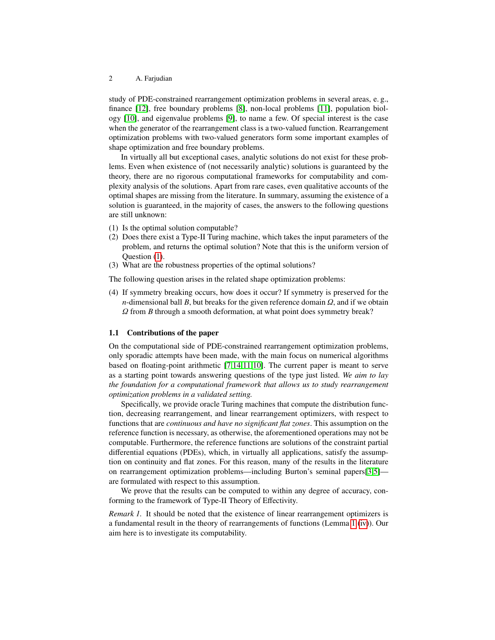study of PDE-constrained rearrangement optimization problems in several areas, e. g., finance [\[12\]](#page-14-3), free boundary problems [\[8\]](#page-13-3), non-local problems [\[11\]](#page-13-4), population biology [\[10\]](#page-13-5), and eigenvalue problems [\[9\]](#page-13-6), to name a few. Of special interest is the case when the generator of the rearrangement class is a two-valued function. Rearrangement optimization problems with two-valued generators form some important examples of shape optimization and free boundary problems.

In virtually all but exceptional cases, analytic solutions do not exist for these problems. Even when existence of (not necessarily analytic) solutions is guaranteed by the theory, there are no rigorous computational frameworks for computability and complexity analysis of the solutions. Apart from rare cases, even qualitative accounts of the optimal shapes are missing from the literature. In summary, assuming the existence of a solution is guaranteed, in the majority of cases, the answers to the following questions are still unknown:

- <span id="page-1-0"></span>(1) Is the optimal solution computable?
- (2) Does there exist a Type-II Turing machine, which takes the input parameters of the problem, and returns the optimal solution? Note that this is the uniform version of Question [\(1\)](#page-1-0).
- (3) What are the robustness properties of the optimal solutions?

The following question arises in the related shape optimization problems:

(4) If symmetry breaking occurs, how does it occur? If symmetry is preserved for the *n*-dimensional ball *B*, but breaks for the given reference domain  $\Omega$ , and if we obtain Ω from *<sup>B</sup>* through a smooth deformation, at what point does symmetry break?

# 1.1 Contributions of the paper

On the computational side of PDE-constrained rearrangement optimization problems, only sporadic attempts have been made, with the main focus on numerical algorithms based on floating-point arithmetic [\[7](#page-13-7)[,14](#page-14-4)[,11](#page-13-4)[,10\]](#page-13-5). The current paper is meant to serve as a starting point towards answering questions of the type just listed. *We aim to lay the foundation for a computational framework that allows us to study rearrangement optimization problems in a validated setting.*

Specifically, we provide oracle Turing machines that compute the distribution function, decreasing rearrangement, and linear rearrangement optimizers, with respect to functions that are *continuous and have no significant flat zones*. This assumption on the reference function is necessary, as otherwise, the aforementioned operations may not be computable. Furthermore, the reference functions are solutions of the constraint partial differential equations (PDEs), which, in virtually all applications, satisfy the assumption on continuity and flat zones. For this reason, many of the results in the literature on rearrangement optimization problems—including Burton's seminal papers[\[3](#page-13-1)[,5\]](#page-13-2) are formulated with respect to this assumption.

We prove that the results can be computed to within any degree of accuracy, conforming to the framework of Type-II Theory of Effectivity.

*Remark 1.* It should be noted that the existence of linear rearrangement optimizers is a fundamental result in the theory of rearrangements of functions (Lemma [1](#page-3-0) [\(iv\)](#page-3-1)). Our aim here is to investigate its computability.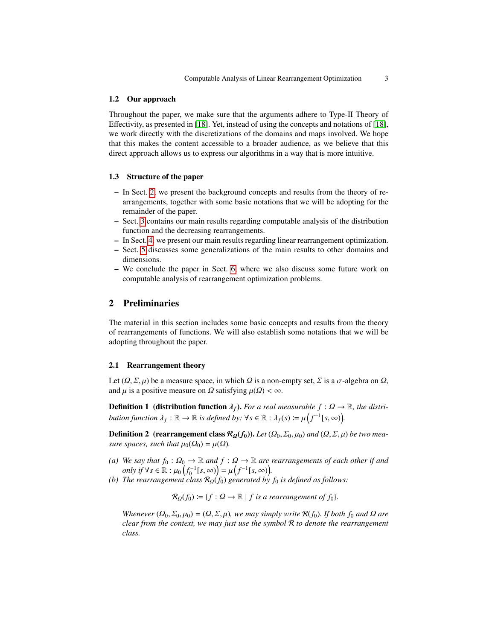#### 1.2 Our approach

Throughout the paper, we make sure that the arguments adhere to Type-II Theory of Effectivity, as presented in [\[18\]](#page-14-0). Yet, instead of using the concepts and notations of [\[18\]](#page-14-0), we work directly with the discretizations of the domains and maps involved. We hope that this makes the content accessible to a broader audience, as we believe that this direct approach allows us to express our algorithms in a way that is more intuitive.

### 1.3 Structure of the paper

- In Sect. [2,](#page-2-0) we present the background concepts and results from the theory of rearrangements, together with some basic notations that we will be adopting for the remainder of the paper.
- Sect. [3](#page-5-0) contains our main results regarding computable analysis of the distribution function and the decreasing rearrangements.
- In Sect. [4,](#page-9-0) we present our main results regarding linear rearrangement optimization.
- Sect. [5](#page-12-0) discusses some generalizations of the main results to other domains and dimensions.
- We conclude the paper in Sect. [6,](#page-13-8) where we also discuss some future work on computable analysis of rearrangement optimization problems.

# <span id="page-2-0"></span>2 Preliminaries

The material in this section includes some basic concepts and results from the theory of rearrangements of functions. We will also establish some notations that we will be adopting throughout the paper.

#### 2.1 Rearrangement theory

Let  $(\Omega, \Sigma, \mu)$  be a measure space, in which  $\Omega$  is a non-empty set,  $\Sigma$  is a  $\sigma$ -algebra on  $\Omega$ , and  $\mu$  is a positive measure on  $\Omega$  satisfying  $\mu(\Omega) < \infty$ .

**Definition 1** (distribution function  $\lambda_f$ ). *For a real measurable*  $f : \Omega \to \mathbb{R}$ *, the distribution function*  $\lambda_f : \mathbb{R} \to \mathbb{R}$  *is defined by:*  $\forall s \in \mathbb{R} : \lambda_f(s) \coloneqq \mu(f^{-1}[s, \infty)).$ 

**Definition 2** (rearrangement class  $\mathcal{R}_{\Omega}(f_0)$ ). Let  $(\Omega_0, \Sigma_0, \mu_0)$  and  $(\Omega, \Sigma, \mu)$  be two mea*sure spaces, such that*  $\mu_0(\Omega_0) = \mu(\Omega)$ *.* 

- *(a) We say that*  $f_0$  :  $\Omega_0$  →  $\mathbb{R}$  *and*  $f$  :  $\Omega$  →  $\mathbb{R}$  *are rearrangements of each other if and only if*  $\forall s \in \mathbb{R}$  *· u<sub>0</sub>*  $(f^{-1}[s, \infty))$   *u*<sub>1</sub> $(f^{-1}[s, \infty))$ *only if*  $\forall s \in \mathbb{R} : \mu_0 \left( f_0^{-1} [s, \infty) \right) = \mu \left( f^{-1} [s, \infty) \right)$ .<br>*The regrangement class R* of *f*<sub>0</sub>) generated by
- *(b) The rearrangement class*  $\mathcal{R}_{\Omega}(f_0)$  *generated by*  $f_0$  *is defined as follows:*

 $\mathcal{R}_{\Omega}(f_0) \coloneqq \{f : \Omega \to \mathbb{R} \mid f \text{ is a rearrangement of } f_0\}.$ 

*Whenever*  $(Q_0, \Sigma_0, \mu_0) = (Q, \Sigma, \mu)$ *, we may simply write*  $\mathcal{R}(f_0)$ *. If both*  $f_0$  *and*  $\Omega$  *are clear from the context, we may just use the symbol* R *to denote the rearrangement class.*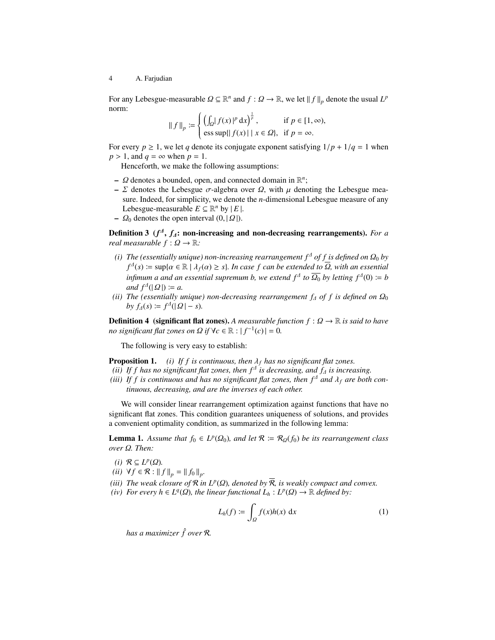For any Lebesgue-measurable  $\Omega \subseteq \mathbb{R}^n$  and  $f : \Omega \to \mathbb{R}$ , we let  $|| f ||_p$  denote the usual  $L^p$  norm: norm:

$$
\|f\|_{p} \coloneqq \begin{cases} \left(\int_{\Omega} |f(x)|^p \,dx\right)^{\frac{1}{p}}, & \text{if } p \in [1, \infty),\\ \text{ess sup}\{|f(x)| \mid x \in \Omega\}, & \text{if } p = \infty. \end{cases}
$$

For every  $p \ge 1$ , we let *q* denote its conjugate exponent satisfying  $1/p + 1/q = 1$  when  $p > 1$  and  $q = \infty$  when  $p = 1$  $p > 1$ , and  $q = \infty$  when  $p = 1$ .

Henceforth, we make the following assumptions:

- Ω denotes a bounded, open, and connected domain in  $\mathbb{R}^n$ ;<br>
 Σ denotes the Lebesgue *σ*-algebra over O with *μ* deno
- Σ denotes the Lebesgue  $\sigma$ -algebra over Ω, with  $\mu$  denoting the Lebesgue measure. Indeed, for simplicity, we denote the *n*-dimensional Lebesgue measure of any Lebesgue-measurable  $E \subseteq \mathbb{R}^n$  by  $|E|$ .
- $\Omega_0$  denotes the open interval  $(0, |\Omega|)$ .

Definition 3 (*f<sup>4</sup>*, *f<sub>4</sub>*: non-increasing and non-decreasing rearrangements). *For a* and magnumble f i Q i **P**<sub>i</sub> *real measurable*  $f: \Omega \to \mathbb{R}$ *:* 

- *(i) The (essentially unique) non-increasing rearrangement*  $f^{\Delta}$  *of f is defined on*  $\Omega_0$  *by*  $f^A(s) := \sup{\{\alpha \in \mathbb{R} \mid \lambda_f(\alpha) \geq s\}}$ *. In case f can be extended to*  $\overline{\Omega}$ *, with an essential infimum a and an essential supremum b, we extend*  $f^{\Delta}$  *to*  $\overline{\Omega_0}$  *by letting*  $f^{\Delta}(0) := b$ <br>*and*  $f^{\Delta}(0 \cap \overline{\Omega}) = a$  $and f^{\Delta}(|\Omega|) \coloneqq a.$ <br>*The (essentially u*
- *(ii) The (essentially unique) non-decreasing rearrangement*  $f_4$  *of*  $f$  *is defined on*  $\Omega_0$  $by f<sub>A</sub>(s) := f<sup>A</sup>(|Q| - s).$

**Definition 4** (significant flat zones). A measurable function  $f: \Omega \to \mathbb{R}$  is said to have *no significant flat zones on*  $\Omega$  *if*  $\forall c \in \mathbb{R} : |f^{-1}(c)| = 0$ .

The following is very easy to establish:

<span id="page-3-3"></span>**Proposition 1.** *(i) If f is continuous, then*  $\lambda_f$  *has no significant flat zones.* 

- *(ii)* If f has no significant flat zones, then  $f^{\Delta}$  is decreasing, and  $f_{\Delta}$  is increasing.<br> *iii)* If f is continuous and has no significant flat zones, then  $f^{\Delta}$  and l, are both
- *(iii)* If f is continuous and has no significant flat zones, then  $f^{\Delta}$  and  $\lambda_f$  are both con*tinuous, decreasing, and are the inverses of each other.*

We will consider linear rearrangement optimization against functions that have no significant flat zones. This condition guarantees uniqueness of solutions, and provides a convenient optimality condition, as summarized in the following lemma:

<span id="page-3-0"></span>**Lemma 1.** *Assume that*  $f_0 \in L^p(\Omega_0)$ *, and let*  $\mathcal{R} := \mathcal{R}_{\Omega}(f_0)$  *be its rearrangement class*  $\Omega$  *Reg.*  $\Omega$  *Then: over* Ω*. Then:*

- $(i)$  R ⊆  $L^p(\Omega)$ *.*<br>*ii*)  $\forall f \in \mathcal{R}$  · ||
- *(ii)*  $\forall f \in \mathcal{R} : \|f\|_p = \|f_0\|_p.$
- (*iii*) *The weak closure of*  $\mathcal{R}$  *in L<sup><i>p*</sup>( $\Omega$ ), denoted by  $\overline{\mathcal{R}}$ *, is weakly compact and convex.*<br>(*iv*) *For every*  $h \in L^q(\Omega)$  *the linear functional*  $L: L^p(\Omega) \to \mathbb{R}$  *defined by:*
- <span id="page-3-1"></span> $f(iv)$  *For every h* ∈ *L*<sup>*q*</sup>( $\Omega$ )*, the linear functional*  $L_h$  :  $L^p(\Omega)$  → R *defined by:*

<span id="page-3-2"></span>
$$
L_h(f) := \int_{\Omega} f(x)h(x) \, \mathrm{d}x \tag{1}
$$

*has a maximizer* ˆ*f over* R*.*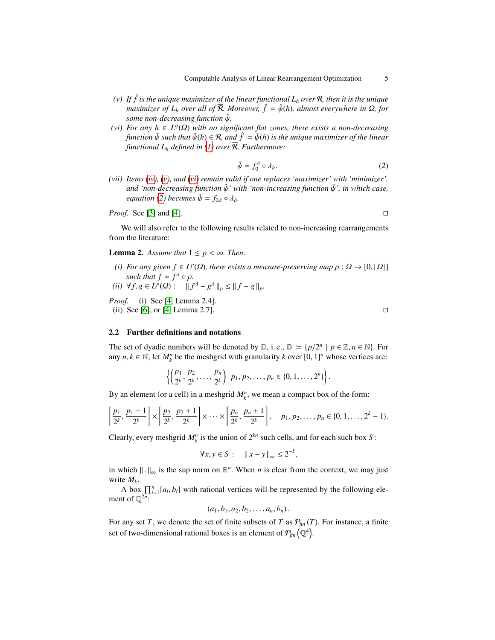- <span id="page-4-0"></span>*(v)* If  $\hat{f}$  is the unique maximizer of the linear functional  $L_h$  over  $\mathcal{R}$ , then it is the unique *maximizer of*  $L_h$  *over all of*  $\mathcal{R}$ *. Moreover,*  $\hat{f} = \hat{\psi}(h)$ *, almost everywhere in*  $\Omega$ *, for some non-decreasing function* ψˆ*.*
- <span id="page-4-1"></span>(*vi*) *For any*  $h \in L^q(\Omega)$  *with no significant flat zones, there exists a non-decreasing*<br>*function*  $\hat{u}$  *such that*  $\hat{u}(h) \in \mathcal{R}$  *and*  $\hat{f} := \hat{u}(h)$  *is the unique maximizer of the linear function*  $\hat{\psi}$  *such that*  $\hat{\psi}(h) \in \mathcal{R}$ , and  $\hat{f} := \hat{\psi}(h)$  is the unique maximizer of the linear *functional*  $L_h$  *defined in [\(1\)](#page-3-2) over*  $\overline{R}$ *. Furthermore:*

<span id="page-4-2"></span>
$$
\hat{\psi} = f_0^A \circ \lambda_h. \tag{2}
$$

*(vii) Items [\(iv\)](#page-3-1), [\(v\)](#page-4-0), and [\(vi\)](#page-4-1) remain valid if one replaces 'maximizer' with 'minimizer', and 'non-decreasing function* ψˆ*' with 'non-increasing function* ψˇ*', in which case, equation* [\(2\)](#page-4-2) *becomes*  $\check{\psi} = f_{0A} \circ \lambda_h$ *.* 

#### *Proof.* See [\[3\]](#page-13-1) and [\[4\]](#page-13-9).  $\Box$

We will also refer to the following results related to non-increasing rearrangements from the literature:

<span id="page-4-3"></span>**Lemma 2.** Assume that  $1 \leq p < \infty$ . Then:

- <span id="page-4-4"></span>*(i) For any given*  $f \in L^p(\Omega)$ *, there exists a measure-preserving map*  $\rho : \Omega \to [0, |\Omega|]$ <br>such that  $f = f^{\Delta} \circ \Omega$ *such that*  $f = f^{\Delta} \circ \rho$ .<br>
∀  $f \circ f = I^{p}(\Omega) \cdot \mathbb{I}$  +
- <span id="page-4-5"></span> $(iii)$   $\forall f, g \in L^p(\Omega) : \quad ||f^A - g^A||_p \le ||f - g||_p.$

*Proof.* (i) See [\[4,](#page-13-9) Lemma 2.4]. (ii) See [\[6\]](#page-13-10), or [\[4,](#page-13-9) Lemma 2.7].

#### 2.2 Further definitions and notations

The set of dyadic numbers will be denoted by  $D$ , i.e.,  $D := {p/2^n \mid p \in \mathbb{Z}, n \in \mathbb{N}}$ . For any  $n \mid k \in \mathbb{N}$  let  $M^n$  be the meshorid with granularity k over  $[0, 1]^n$  whose vertices are: any  $n, k \in \mathbb{N}$ , let  $M_k^n$  be the meshgrid with granularity *k* over [0, 1]<sup>*n*</sup> whose vertices are:

$$
\left\{ \left( \frac{p_1}{2^k}, \frac{p_2}{2^k}, \ldots, \frac{p_n}{2^k} \right) \middle| p_1, p_2, \ldots, p_n \in \{0, 1, \ldots, 2^k\} \right\}.
$$

By an element (or a cell) in a meshgrid  $M_k^n$ , we mean a compact box of the form:

$$
\left[\frac{p_1}{2^k}, \frac{p_1+1}{2^k}\right] \times \left[\frac{p_2}{2^k}, \frac{p_2+1}{2^k}\right] \times \cdots \times \left[\frac{p_n}{2^k}, \frac{p_n+1}{2^k}\right], \quad p_1, p_2, \ldots, p_n \in \{0, 1, \ldots, 2^k-1\}.
$$

Clearly, every meshgrid  $M_k^n$  is the union of  $2^{kn}$  such cells, and for each such box *S*:

$$
\forall x, y \in S: \quad ||x - y||_{\infty} \leq 2^{-k},
$$

in which  $\|\cdot\|_{\infty}$  is the sup norm on  $\mathbb{R}^n$ . When *n* is clear from the context, we may just write *M*. write *Mk*.

A box  $\prod_{i=1}^{n} [a_i, b_i]$  with rational vertices will be represented by the following element of  $\mathbb{Q}^{2n}$ :

$$
(a_1, b_1, a_2, b_2, \ldots, a_n, b_n).
$$

For any set *T*, we denote the set of finite subsets of *T* as  $P_{fin}(T)$ . For instance, a finite set of two-dimensional rational boxes is an element of  $\mathcal{P}_{\text{fin}}\left(\mathbb{Q}^4\right)$ .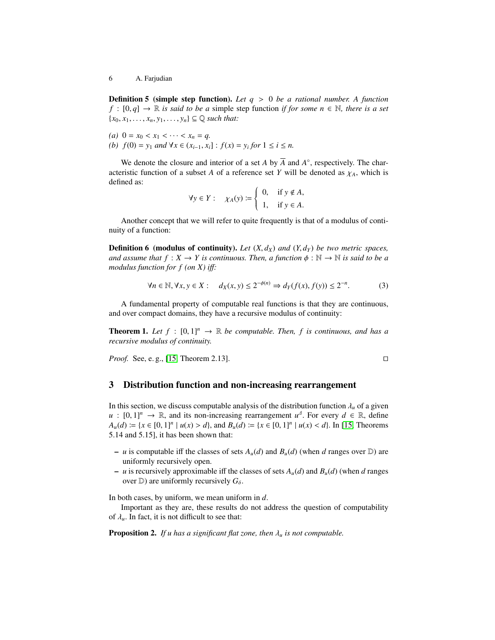Definition 5 (simple step function). *Let q* > <sup>0</sup> *be a rational number. A function f* : [0, *q*] → R *is said to be a* simple step function *if for some*  $n \in \mathbb{N}$ *, there is a set*  ${x_0, x_1, \ldots, x_n, y_1, \ldots, y_n} \subseteq \mathbb{Q}$  *such that:* 

(*a*)  $0 = x_0 < x_1 < \cdots < x_n = q$ . *(b)*  $f(0) = y_1$  *and*  $∀x ∈ (x_{i-1}, x_i]$  :  $f(x) = y_i$  *for*  $1 ≤ i ≤ n$ .

We denote the closure and interior of a set *A* by  $\overline{A}$  and  $A^{\circ}$ , respectively. The characteristic function of a subset *A* of a reference set *Y* will be denoted as  $\chi_A$ , which is defined as:

$$
\forall y \in Y: \quad \chi_A(y) := \begin{cases} 0, & \text{if } y \notin A, \\ 1, & \text{if } y \in A. \end{cases}
$$

Another concept that we will refer to quite frequently is that of a modulus of continuity of a function:

**Definition 6 (modulus of continuity).** Let  $(X, d_X)$  and  $(Y, d_Y)$  be two metric spaces, *and assume that*  $f : X \to Y$  *is continuous. Then, a function*  $\phi : \mathbb{N} \to \mathbb{N}$  *is said to be a modulus function for f (on X) i*ff*:*

<span id="page-5-2"></span>
$$
\forall n \in \mathbb{N}, \forall x, y \in X: \quad d_X(x, y) \le 2^{-\phi(n)} \Rightarrow d_Y(f(x), f(y)) \le 2^{-n}.
$$
 (3)

A fundamental property of computable real functions is that they are continuous, and over compact domains, they have a recursive modulus of continuity:

<span id="page-5-1"></span>**Theorem 1.** Let  $f : [0,1]^n \to \mathbb{R}$  be computable. Then, f is continuous, and has a *recursive modulus of continuity.*

*Proof.* See, e.g., [\[15,](#page-14-5) Theorem 2.13].

$$
\Box
$$

# <span id="page-5-0"></span>3 Distribution function and non-increasing rearrangement

In this section, we discuss computable analysis of the distribution function  $\lambda_u$  of a given *u* :  $[0, 1]^n \rightarrow \mathbb{R}$ , and its non-increasing rearrangement *u*<sup>2</sup>. For every *d* ∈ ℝ, define *A* (*d*) :  $\vdash$  *k* (*d*) :  $\vdash$  *k* (*d*) :  $\vdash$  *k* (*d*) :  $\vdash$  *k* (*d*) :  $\vdash$  *k* (*d*) :  $\vdash$  *k* (*x*)  $\le$  *A*<sub>*u*</sub>(*d*) := {*x* ∈ [0, 1]<sup>*n*</sup> | *u*(*x*) > *d*}, and *B<sub><i>u*</sub>(*d*) := {*x* ∈ [0, 1]<sup>*n*</sup> | *u*(*x*) < *d*}. In [\[15,](#page-14-5) Theorems 5 14 and 5 151 it has been shown that: 5.14 and 5.15], it has been shown that:

- *u* is computable iff the classes of sets  $A_u(d)$  and  $B_u(d)$  (when *d* ranges over  $D$ ) are uniformly recursively open.
- $-$  *u* is recursively approximable iff the classes of sets  $A_u(d)$  and  $B_u(d)$  (when *d* ranges over  $D$ ) are uniformly recursively  $G_{\delta}$ .

In both cases, by uniform, we mean uniform in *d*.

Important as they are, these results do not address the question of computability of  $\lambda_{\mu}$ . In fact, it is not difficult to see that:

Proposition 2. *If u has a significant flat zone, then* <sup>λ</sup>*<sup>u</sup> is not computable.*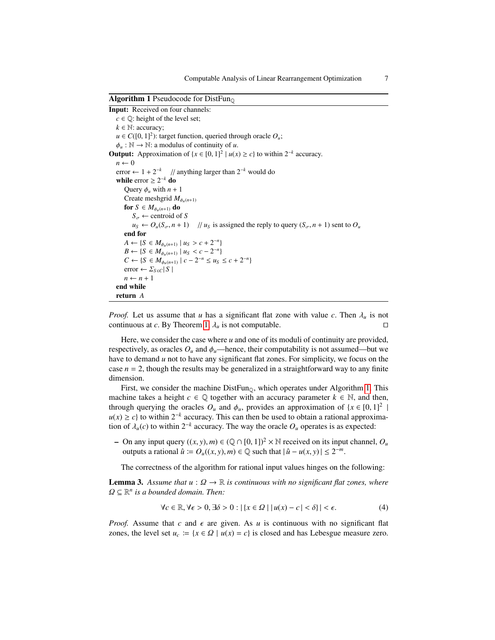Algorithm 1 Pseudocode for DistFun $\Omega$ 

```
Input: Received on four channels:
   c \in \mathbb{Q}: height of the level set;
   k \in \mathbb{N}: accuracy;
    u \in C([0, 1]^2): target function, queried through oracle O_u;<br>
\phi \in \mathbb{N} \to \mathbb{N}: a modulus of continuity of u
   \phi_u : \mathbb{N} \to \mathbb{N}: a modulus of continuity of u.
Output: Approximation of \{x \in [0, 1]^2 | u(x) \ge c\} to within 2^{-k} accuracy.
   n \leftarrow 0error \leftarrow 1 + 2<sup>-k</sup> // anything larger than 2<sup>-k</sup> would do
    while error \geq 2^{-k} do
        Query \phi_u with n+1Create meshgrid M_{\phi_u(n+1)}for S \in M_{\phi_u(n+1)} do
             S_{\sigma} \leftarrow centroid of S
             u_S \leftarrow O_u(S_\sigma, n+1) // u_S is assigned the reply to query (S_\sigma, n+1) sent to O_uend for
         A \leftarrow \{S \in M_{\phi_u(n+1)} \mid u_S > c + 2^{-n}\}<br>B \leftarrow \{S \in M, \dots \mid u_S < c - 2^{-n}\}B \leftarrow \{S \in M_{\phi_u(n+1)} \mid u_S < c - 2^{-n}\}<br>C \leftarrow \{S \in M, \dots, \mid c - 2^{-n} \leq u_s\}C \leftarrow \{ S \in M_{\phi_u(n+1)} \mid c - 2^{-n} \le u_s \le c + 2^{-n} \}error ← ΣS ∈C| S |
        n \leftarrow n + 1end while
   return A
```
<span id="page-6-0"></span>*Proof.* Let us assume that *u* has a significant flat zone with value *c*. Then  $\lambda_u$  is not continuous at *c*. By Theorem 1.  $\lambda_u$  is not computable. continuous at *c*. By Theorem [1,](#page-5-1)  $\lambda_u$  is not computable.

Here, we consider the case where *u* and one of its moduli of continuity are provided, respectively, as oracles  $O_u$  and  $\phi_u$ —hence, their computability is not assumed—but we have to demand *u* not to have any significant flat zones. For simplicity, we focus on the case  $n = 2$ , though the results may be generalized in a straightforward way to any finite dimension.

First, we consider the machine  $DistFun_{\mathbb{O}}$ , which operates under Algorithm [1.](#page-6-0) This machine takes a height  $c \in \mathbb{Q}$  together with an accuracy parameter  $k \in \mathbb{N}$ , and then, through querying the oracles  $O_u$  and  $\phi_u$ , provides an approximation of  $\{x \in [0, 1]^2$ |  $u(x) \ge c$  to within  $2^{-k}$  accuracy. This can then be used to obtain a rational approximation of  $\lambda_u(c)$  to within  $2^{-k}$  accuracy. The way the oracle  $O_u$  operates is as expected:

– On any input query  $((x, y), m) \in \mathbb{Q} \cap [0, 1]^2 \times \mathbb{N}$  received on its input channel,  $O_u$ outputs a rational  $\hat{u}$  :=  $O_u((x, y), m) \in \mathbb{Q}$  such that  $|\hat{u} - u(x, y)| \le 2^{-m}$ .

The correctness of the algorithm for rational input values hinges on the following:

**Lemma 3.** Assume that  $u : \Omega \to \mathbb{R}$  is continuous with no significant flat zones, where  $\Omega \subseteq \mathbb{R}^n$  is a bounded domain. Then:

<span id="page-6-1"></span>
$$
\forall c \in \mathbb{R}, \forall \epsilon > 0, \exists \delta > 0 : |\{x \in \Omega \mid |u(x) - c| < \delta\}| < \epsilon. \tag{4}
$$

*Proof.* Assume that  $c$  and  $\epsilon$  are given. As  $u$  is continuous with no significant flat zones, the level set  $u_c := \{x \in \Omega \mid u(x) = c\}$  is closed and has Lebesgue measure zero.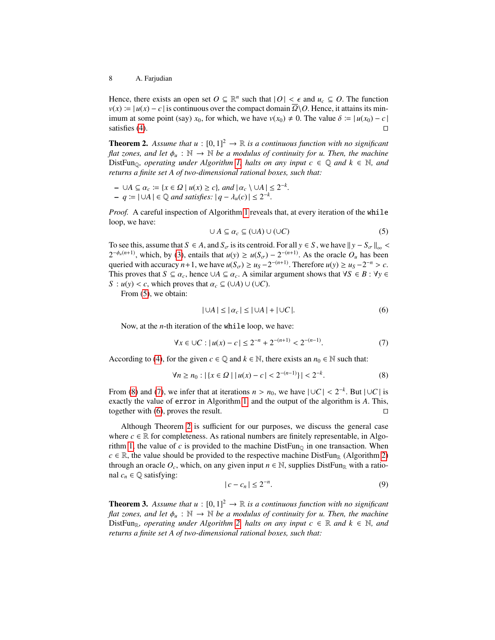Hence, there exists an open set  $O \subseteq \mathbb{R}^n$  such that  $|O| < \epsilon$  and  $u_c \subseteq O$ . The function  $v(x) = |u(x) - c|$  is continuous over the compact domain  $\overline{O} \setminus O$ . Hence, it attains its min $v(x) := |u(x) - c|$  is continuous over the compact domain  $\Omega \setminus O$ . Hence, it attains its minimum at some point (say) *x*<sub>0</sub>, for which, we have *v*(*x*<sub>0</sub>) ≠ 0. The value δ  $:= |u(x_0) - c|$  satisfies (4). satisfies  $(4)$ .

<span id="page-7-4"></span>**Theorem 2.** Assume that  $u : [0, 1]^2 \rightarrow \mathbb{R}$  is a continuous function with no significant *flat zones, and let*  $\phi_u : \mathbb{N} \to \mathbb{N}$  *be a modulus of continuity for u. Then, the machine* DistFun<sub>0</sub>, operating under Algorithm [1,](#page-6-0) halts on any input  $c \in \mathbb{Q}$  and  $k \in \mathbb{N}$ , and *returns a finite set A of two-dimensional rational boxes, such that:*

$$
- \cup A \subseteq \alpha_c := \{x \in \Omega \mid u(x) \ge c\}, \text{ and } |\alpha_c \setminus \cup A| \le 2^{-k}.
$$
  

$$
- q := |\cup A| \in \mathbb{Q} \text{ and satisfies: } |q - \lambda_u(c)| \le 2^{-k}.
$$

*Proof.* A careful inspection of Algorithm [1](#page-6-0) reveals that, at every iteration of the while loop, we have:

<span id="page-7-0"></span>
$$
\cup A \subseteq \alpha_c \subseteq (\cup A) \cup (\cup C) \tag{5}
$$

To see this, assume that  $S \in A$ , and  $S_{\sigma}$  is its centroid. For all  $y \in S$ , we have  $||y - S_{\sigma}||_{\infty}$  $2^{-\phi_u(n+1)}$ , which, by [\(3\)](#page-5-2), entails that  $u(y) \ge u(S_\sigma) - 2^{-(n+1)}$ . As the oracle  $O_u$  has been<br>quantity assument a 1 up have  $u(S_\sigma) \ge u(2^{-(n+1)})$ . Therefore  $u(x) \ge u(2^{-n} \ge 0$ queried with accuracy *n*+1, we have  $u(S_{\sigma}) \ge u_S - 2^{-(n+1)}$ . Therefore  $u(y) \ge u_S - 2^{-n} > c$ .<br>This proves that  $S \subset \alpha$ , hence  $\Box A \subset \alpha$ . A similar argument shows that  $S \subset B \cdot Y$ . This proves that  $S \subseteq \alpha_c$ , hence  $\cup A \subseteq \alpha_c$ . A similar argument shows that  $\forall S \in B : \forall y \in A$ *S* :  $u(y) < c$ , which proves that  $\alpha_c \subseteq (\cup A) \cup (\cup C)$ .

From [\(5\)](#page-7-0), we obtain:

<span id="page-7-3"></span>
$$
|\cup A| \leq |\alpha_c| \leq |\cup A| + |\cup C|.
$$
 (6)

Now, at the *n*-th iteration of the while loop, we have:

<span id="page-7-2"></span>
$$
\forall x \in \cup C : |u(x) - c| \le 2^{-n} + 2^{-(n+1)} < 2^{-(n-1)}.\tag{7}
$$

According to [\(4\)](#page-6-1), for the given  $c \in \mathbb{Q}$  and  $k \in \mathbb{N}$ , there exists an  $n_0 \in \mathbb{N}$  such that:

<span id="page-7-1"></span>
$$
\forall n \ge n_0 : |\{x \in \Omega \mid |u(x) - c| < 2^{-(n-1)}\}| < 2^{-k}.\tag{8}
$$

From [\(8\)](#page-7-1) and [\(7\)](#page-7-2), we infer that at iterations  $n > n_0$ , we have  $| \cup C | < 2^{-k}$ . But  $| \cup C |$  is exactly the value of express in Algorithm 1, and the output of the algorithm is A. This exactly the value of error in Algorithm [1,](#page-6-0) and the output of the algorithm is *A*. This, together with [\(6\)](#page-7-3), proves the result.  $\square$ 

Although Theorem [2](#page-7-4) is sufficient for our purposes, we discuss the general case where  $c \in \mathbb{R}$  for completeness. As rational numbers are finitely representable, in Algo-rithm [1,](#page-6-0) the value of  $c$  is provided to the machine  $DistFun_{\mathbb{O}}$  in one transaction. When  $c \in \mathbb{R}$ , the value should be provided to the respective machine DistFun<sub>R</sub> (Algorithm [2\)](#page-8-0) through an oracle  $O_c$ , which, on any given input  $n \in \mathbb{N}$ , supplies DistFun<sub>R</sub> with a rational  $c_n \in \mathbb{Q}$  satisfying:

<span id="page-7-5"></span>
$$
|c - c_n| \le 2^{-n}.\tag{9}
$$

<span id="page-7-6"></span>**Theorem 3.** Assume that  $u : [0, 1]^2 \rightarrow \mathbb{R}$  is a continuous function with no significant *flat zones, and let*  $\phi_u : \mathbb{N} \to \mathbb{N}$  *be a modulus of continuity for u. Then, the machine* DistFun<sub>R</sub>, operating under Algorithm [2,](#page-8-0) halts on any input  $c \in \mathbb{R}$  and  $k \in \mathbb{N}$ , and *returns a finite set A of two-dimensional rational boxes, such that:*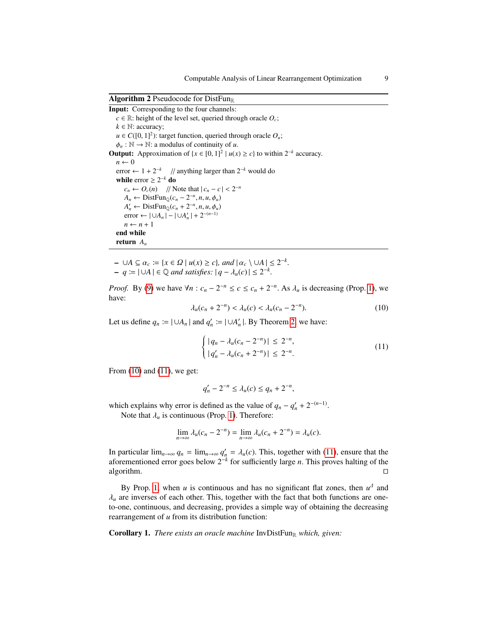Algorithm 2 Pseudocode for DistFun<sub>R</sub>

Input: Corresponding to the four channels:  $c \in \mathbb{R}$ : height of the level set, queried through oracle  $O_c$ ;  $k \in \mathbb{N}$ : accuracy;  $u \in C([0, 1]^2)$ : target function, queried through oracle  $O_u$ ;<br>  $\phi \in \mathbb{N} \to \mathbb{N}$ : a modulus of continuity of *u*  $\phi_u : \mathbb{N} \to \mathbb{N}$ : a modulus of continuity of *u*. **Output:** Approximation of  $\{x \in [0, 1]^2 | u(x) \ge c\}$  to within  $2^{-k}$  accuracy.  $n \leftarrow 0$ error  $\leftarrow$  1 + 2<sup>-*k*</sup> // anything larger than 2<sup>-*k*</sup> would do while  $error \geq 2^{-k}$  do  $c_n \leftarrow O_c(n)$  // Note that  $|c_n - c| < 2^{-n}$ <br>  $A \leftarrow$  DistEun  $(c_n - 2^{-n} n, u, \phi)$  $A_n \leftarrow \text{DistFun}_{\mathbb{Q}}(c_n - 2^{-n}, n, u, \phi_u)$ <br>  $A' \leftarrow \text{DistFun}_{\mathbb{Q}}(c_n + 2^{-n}, n, u, \phi_u)$ *A*<sup>*n*</sup> ← DistFun<sub>Q</sub>(*c<sub>n</sub>* + 2<sup>-*n*</sup>, *n*, *u*,  $\phi$ <sub>*u*</sub>)</sub> error ←  $|\cup A_n| - |\cup A_n'| + 2^{-(n-1)}$  $n \leftarrow n + 1$ end while return *A<sup>n</sup>*

<span id="page-8-0"></span> $-$  ∪*A* ⊆  $\alpha_c := \{x \in \Omega \mid u(x) \ge c\}$ , and  $|\alpha_c \setminus \cup A| \le 2^{-k}$ .<br>  $-$  *a*  $-$  1 ⊥ *A*  $\in \mathbb{Q}$  and satisfies:  $|a - \lambda(c)| < 2^{-k}$ .

 $\vdash q := |\cup A| \in \mathbb{Q}$  *and satisfies:*  $|q - \lambda_u(c)| \leq 2^{-k}$ *.* 

*Proof.* By [\(9\)](#page-7-5) we have  $\forall n : c_n - 2^{-n} \le c \le c_n + 2^{-n}$ . As  $\lambda_u$  is decreasing (Prop. [1\)](#page-3-3), we have: have:

<span id="page-8-1"></span>
$$
\lambda_u(c_n + 2^{-n}) < \lambda_u(c) < \lambda_u(c_n - 2^{-n}).\tag{10}
$$

Let us define  $q_n := |\cup A_n|$  and  $q'_n := |\cup A'_n|$ . By Theorem [2,](#page-7-4) we have:

<span id="page-8-2"></span>
$$
\begin{cases} |q_n - \lambda_u(c_n - 2^{-n})| \le 2^{-n}, \\ |q_n' - \lambda_u(c_n + 2^{-n})| \le 2^{-n}. \end{cases}
$$
 (11)

From [\(10\)](#page-8-1) and [\(11\)](#page-8-2), we get:

$$
q'_{n} - 2^{-n} \leq \lambda_{u}(c) \leq q_{n} + 2^{-n},
$$

which explains why error is defined as the value of  $q_n - q'_n + 2^{-(n-1)}$ .

Note that  $\lambda_u$  is continuous (Prop. [1\)](#page-3-3). Therefore:

$$
\lim_{n\to\infty}\lambda_u(c_n-2^{-n})=\lim_{n\to\infty}\lambda_u(c_n+2^{-n})=\lambda_u(c).
$$

In particular  $\lim_{n\to\infty} q_n = \lim_{n\to\infty} q'_n = \lambda_u(c)$ . This, together with [\(11\)](#page-8-2), ensure that the aforementioned error goes below  $2^{-k}$  for sufficiently large *n*. This proves balting of the aforementioned error goes below 2<sup>−</sup>*<sup>k</sup>* for sufficiently large *n*. This proves halting of the algorithm.  $\square$ 

By Prop. [1,](#page-3-3) when *u* is continuous and has no significant flat zones, then  $u^{\Delta}$  and  $\lambda$ <sub>u</sub> are inverses of each other. This, together with the fact that both functions are oneto-one, continuous, and decreasing, provides a simple way of obtaining the decreasing rearrangement of *u* from its distribution function:

<span id="page-8-3"></span>Corollary 1. *There exists an oracle machine* InvDistFun<sub>R</sub> which, given: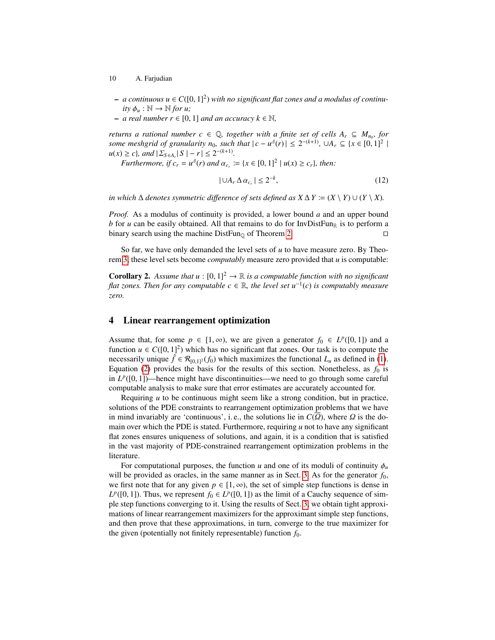- 10 A. Farjudian
- $a$  continuous  $u \in C([0, 1]^2)$  *with no significant flat zones and a modulus of continu-*<br> *ity*  $\phi : \mathbb{N} \to \mathbb{N}$  *for u ity*  $\phi_u : \mathbb{N} \to \mathbb{N}$  *for u*;
- *a real number r* <sup>∈</sup> [0, 1] *and an accuracy k* <sup>∈</sup> <sup>N</sup>*,*

*returns a rational number c*  $\in$  Q, together with a finite set of cells  $A_r \subseteq M_{n_0}$ , for *some meshgrid of granularity n<sub>0</sub>, such that*  $|c - u^4(r)| \le 2^{-(k+1)}$ ,  $\cup A_r \subseteq \{x \in [0, 1]^2 \mid u(x) > c\}$ , and  $|\sum_{c=1}^k |S| = r \le 2^{-(k+1)}$  $u(x) \geq c$ , and  $|\Sigma_{S \in A_r} | S |- r | \leq 2^{-(k+1)}$ .<br>*Eurhermore*, if  $c = u^A(r)$  and  $\alpha$ .

*Furthermore, if*  $c_r = u^4(r)$  *and*  $\alpha_{c_r} := \{x \in [0, 1]^2 \mid u(x) \ge c_r\}$ *, then:* 

<span id="page-9-1"></span>
$$
|\cup A_r \Delta a_{c_r}| \le 2^{-k},\tag{12}
$$

*in which*  $\Delta$  *denotes symmetric difference of sets defined as*  $X \Delta Y := (X \setminus Y) \cup (Y \setminus X)$ .

*Proof.* As a modulus of continuity is provided, a lower bound *a* and an upper bound *b* for *u* can be easily obtained. All that remains to do for InvDistFun<sub>R</sub> is to perform a binary search using the machine DistFun<sub>0</sub> of Theorem [2.](#page-7-4)  $\Box$ 

So far, we have only demanded the level sets of *u* to have measure zero. By Theorem [3,](#page-7-6) these level sets become *computably* measure zero provided that *u* is computable:

**Corollary 2.** Assume that  $u : [0, 1]^2 \rightarrow \mathbb{R}$  is a computable function with no significant *flat zones. Then for any computable c* ∈ R*, the level set u*<sup>−</sup><sup>1</sup> (*c*) *is computably measure zero.*

## <span id="page-9-0"></span>4 Linear rearrangement optimization

Assume that, for some  $p \in [1, \infty)$ , we are given a generator  $f_0 \in L^p([0, 1])$  and a function  $\mu \in C([0, 1]^2)$  which has no significant flat zones. Our task is to compute the function  $u \in C([0, 1]^2)$  which has no significant flat zones. Our task is to compute the necessarily unique  $\hat{f} \in \mathcal{R}_{\text{max}}(f_0)$  which maximizes the functional *L* as defined in (1) necessarily unique  $\hat{f} \in \mathcal{R}_{[0,1]^2}(f_0)$  which maximizes the functional  $L_u$  as defined in [\(1\)](#page-3-2). Equation [\(2\)](#page-4-2) provides the basis for the results of this section. Nonetheless, as  $f_0$  is in  $L^p([0, 1])$ —hence might have discontinuities—we need to go through some careful<br>computable analysis to make sure that error estimates are accurately accounted for computable analysis to make sure that error estimates are accurately accounted for.

Requiring *u* to be continuous might seem like a strong condition, but in practice, solutions of the PDE constraints to rearrangement optimization problems that we have in mind invariably are 'continuous', i.e., the solutions lie in  $C(\Omega)$ , where  $\Omega$  is the domain over which the PDE is stated. Furthermore, requiring *u* not to have any significant flat zones ensures uniqueness of solutions, and again, it is a condition that is satisfied in the vast majority of PDE-constrained rearrangement optimization problems in the literature.

For computational purposes, the function *u* and one of its moduli of continuity  $\phi_u$ will be provided as oracles, in the same manner as in Sect. [3.](#page-5-0) As for the generator  $f_0$ , we first note that for any given  $p \in [1, \infty)$ , the set of simple step functions is dense in  $L^p([0, 1])$ . Thus, we represent  $f_0 \in L^p([0, 1])$  as the limit of a Cauchy sequence of sim-<br>ple step functions converging to it. Using the results of Sect. 3, we obtain tight approxiple step functions converging to it. Using the results of Sect. [3,](#page-5-0) we obtain tight approximations of linear rearrangement maximizers for the approximant simple step functions, and then prove that these approximations, in turn, converge to the true maximizer for the given (potentially not finitely representable) function  $f_0$ .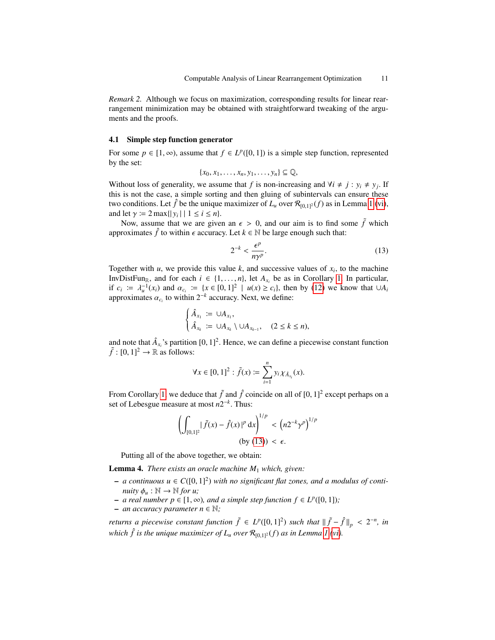*Remark 2.* Although we focus on maximization, corresponding results for linear rearrangement minimization may be obtained with straightforward tweaking of the arguments and the proofs.

#### 4.1 Simple step function generator

For some *p* ∈ [1, ∞), assume that  $f \text{ } \in L^p([0, 1])$  is a simple step function, represented by the set: by the set:

$$
\{x_0, x_1, \ldots, x_n, y_1, \ldots, y_n\} \subseteq \mathbb{Q},
$$

Without loss of generality, we assume that *f* is non-increasing and  $\forall i \neq j : y_i \neq y_j$ . If this is not the case, a simple sorting and then gluing of subintervals can ensure these two conditions. Let  $\hat{f}$  be the unique maximizer of  $L_u$  over  $\mathcal{R}_{[0,1]^2}(f)$  as in Lemma [1](#page-3-0) [\(vi\)](#page-4-1), and let  $\gamma := 2 \max\{|y_i| \mid 1 \le i \le n\}$ .<br>Now assume that we are give

Now, assume that we are given an  $\epsilon > 0$ , and our aim is to find some  $\tilde{f}$  which approximates  $\hat{f}$  to within  $\epsilon$  accuracy. Let  $k \in \mathbb{N}$  be large enough such that:

<span id="page-10-0"></span>
$$
2^{-k} < \frac{\epsilon^p}{n\gamma^p}.\tag{13}
$$

Together with  $u$ , we provide this value  $k$ , and successive values of  $x_i$ , to the machine InvDistFun<sub>R</sub>, and for each  $i \in \{1, ..., n\}$ , let  $A_{x_i}$  be as in Corollary [1.](#page-8-3) In particular, if  $c_i := \lambda^{-1}(x_i)$  and  $\alpha_i := \lambda x \in [0, 1]^2 \mid u(x) \ge c_i\}$ , then by (12) we know that  $\Box A$ . if  $c_i := \lambda_i^{-1}(x_i)$  and  $\alpha_{c_i} := \{x \in [0, 1]^2 \mid u(x) \ge c_i\}$ , then by [\(12\)](#page-9-1) we know that ∪*A<sub>i</sub>* approximates  $\alpha$  to within  $2^{-k}$  accuracy. Next we define: approximates  $\alpha_{c_i}$  to within  $2^{-k}$  accuracy. Next, we define:

$$
\begin{cases} \hat{A}_{x_1} := \cup A_{x_1}, \\ \hat{A}_{x_k} := \cup A_{x_k} \setminus \cup A_{x_{k-1}}, \quad (2 \leq k \leq n), \end{cases}
$$

and note that  $\hat{A}_{x_i}$ 's partition  $[0, 1]^2$ . Hence, we can define a piecewise constant function  $\tilde{f}$ :  $[0, 1]^2 \rightarrow \mathbb{R}$  as follows:  $\tilde{f} : [0, 1]^2 \rightarrow \mathbb{R}$  as follows:

$$
\forall x \in [0,1]^2: \widetilde{f}(x) \coloneqq \sum_{i=1}^n y_i \chi_{\hat{A}_{x_i}}(x).
$$

From Corollary [1,](#page-8-3) we deduce that  $\tilde{f}$  and  $\hat{f}$  coincide on all of  $[0, 1]^2$  except perhaps on a set of I ebesque measure at most  $n2^{-k}$ . Thus: set of Lebesgue measure at most  $n2^{-k}$ . Thus:

$$
\left(\int_{[0,1]^2} |\tilde{f}(x) - \hat{f}(x)|^p dx\right)^{1/p} < \left(n2^{-k}\gamma^p\right)^{1/p} \\
 \text{(by (13))} < \epsilon.
$$

Putting all of the above together, we obtain:

<span id="page-10-1"></span>Lemma 4. *There exists an oracle machine M*<sup>1</sup> *which, given:*

- $a$  continuous  $u \in C([0, 1]^2)$  *with no significant flat zones, and a modulus of continuity*  $\phi : \mathbb{N} \to \mathbb{N}$  for  $u$ : *nuity*  $\phi_u : \mathbb{N} \to \mathbb{N}$  *for u*;
- *a real number p* ∈ [1, ∞)*, and a simple step function f* ∈  $L^p([0, 1])$ *;*<br>*an accuracy parameter n* ∈ N·
- $-$  *an accuracy parameter n* ∈  $\mathbb{N}$ ;

*returns a piecewise constant function*  $\tilde{f} \in L^p([0, 1]^2)$  *such that*  $\|\tilde{f} - \hat{f}\|_p < 2^{-n}$ , in problem is the property of L property (c) as in L property (ci) *which*  $\hat{f}$  *is the unique maximizer of*  $L_u$  *over*  $\mathcal{R}_{[0,1]^2}(f)$  *as in Lemma [1](#page-3-0) [\(vi\)](#page-4-1).*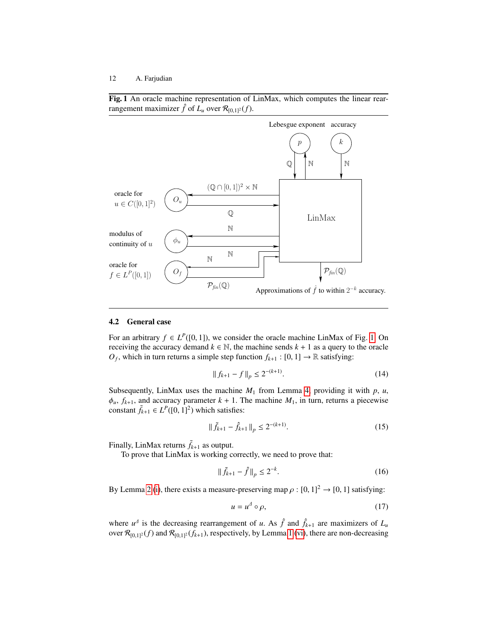<span id="page-11-0"></span>Fig. 1 An oracle machine representation of LinMax, which computes the linear rearrangement maximizer  $\hat{f}$  of  $L_u$  over  $\mathcal{R}_{[0,1]^2}(f)$ .



#### 4.2 General case

For an arbitrary *f* ∈ *L*<sup>*P*</sup>([0, 1]), we consider the oracle machine LinMax of Fig. [1.](#page-11-0) On receiving the accuracy demand  $k \in \mathbb{N}$  the machine sends  $k + 1$  as a query to the oracle receiving the accuracy demand  $k \in \mathbb{N}$ , the machine sends  $k + 1$  as a query to the oracle *O*<sup>*f*</sup>, which in turn returns a simple step function  $f_{k+1} : [0, 1] \rightarrow \mathbb{R}$  satisfying:

<span id="page-11-2"></span>
$$
|| f_{k+1} - f ||_p \le 2^{-(k+1)}.
$$
 (14)

Subsequently, LinMax uses the machine  $M_1$  from Lemma [4,](#page-10-1) providing it with  $p$ ,  $u$ ,  $\phi_u$ ,  $f_{k+1}$ , and accuracy parameter  $k+1$ . The machine  $M_1$ , in turn, returns a piecewise constant  $\tilde{f}_{k+1} \in L^P([0, 1]^2)$  which satisfies:

<span id="page-11-3"></span>
$$
\|\tilde{f}_{k+1} - \hat{f}_{k+1}\|_p \le 2^{-(k+1)}.\tag{15}
$$

Finally, LinMax returns  $\tilde{f}_{k+1}$  as output.

To prove that LinMax is working correctly, we need to prove that:

<span id="page-11-4"></span>
$$
\|\tilde{f}_{k+1} - \hat{f}\|_p \le 2^{-k}.\tag{16}
$$

By Lemma [2](#page-4-3) [\(i\)](#page-4-4), there exists a measure-preserving map  $\rho : [0, 1]^2 \rightarrow [0, 1]$  satisfying:

<span id="page-11-1"></span>
$$
u = u^4 \circ \rho,\tag{17}
$$

where  $u^{\perp}$  is the decreasing rearrangement of *u*. As  $\hat{f}$  and  $\hat{f}_{k+1}$  are maximizers of  $L_u$ over  $\mathcal{R}_{[0,1]^2}(f)$  and  $\mathcal{R}_{[0,1]^2}(f_{k+1})$ , respectively, by Lemma [1](#page-3-0) [\(vi\)](#page-4-1), there are non-decreasing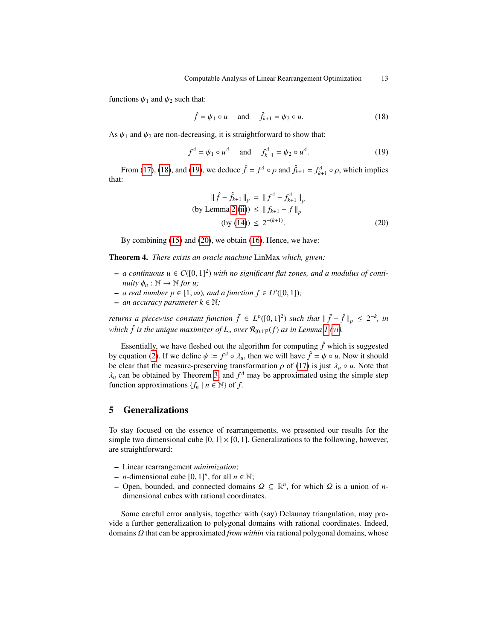functions  $\psi_1$  and  $\psi_2$  such that:

<span id="page-12-1"></span>
$$
\hat{f} = \psi_1 \circ u \quad \text{and} \quad \hat{f}_{k+1} = \psi_2 \circ u. \tag{18}
$$

As  $\psi_1$  and  $\psi_2$  are non-decreasing, it is straightforward to show that:

<span id="page-12-2"></span>
$$
f^{A} = \psi_{1} \circ u^{A} \quad \text{and} \quad f_{k+1}^{A} = \psi_{2} \circ u^{A}. \tag{19}
$$

From [\(17\)](#page-11-1), [\(18\)](#page-12-1), and [\(19\)](#page-12-2), we deduce  $\hat{f} = f^{\Delta} \circ \rho$  and  $\hat{f}_{k+1} = f^{\Delta}_{k+1} \circ \rho$ , which implies that:

<span id="page-12-3"></span>
$$
\|\hat{f} - \hat{f}_{k+1}\|_{p} = \|f^{A} - f_{k+1}^{A}\|_{p}
$$
  
(by Lemma 2 (ii))  $\leq \|f_{k+1} - f\|_{p}$   
(by (14))  $\leq 2^{-(k+1)}$ . (20)

By combining [\(15\)](#page-11-3) and [\(20\)](#page-12-3), we obtain [\(16\)](#page-11-4). Hence, we have:

Theorem 4. *There exists an oracle machine* LinMax *which, given:*

- $a$  continuous  $u \in C([0, 1]^2)$  *with no significant flat zones, and a modulus of continuity*  $\phi : \mathbb{N} \to \mathbb{N}$  for  $u$ : *nuity*  $\phi_u : \mathbb{N} \to \mathbb{N}$  *for u*;
- *− a real number p* ∈ [1, ∞)*, and a function f* ∈  $L^p([0, 1])$ ;<br>*− an accuracy parameter k* ∈ N·
- $-$  *an accuracy parameter k* ∈  $\mathbb{N}$ ;

*returns a piecewise constant function*  $\tilde{f} \in L^p([0, 1]^2)$  *such that*  $\|\tilde{f} - \hat{f}\|_p \leq 2^{-k}$ , *in*<br>*publish*  $\hat{f}$  is the origin experiming of L map  $P$  (*f*) as in L map 1(*xii*) *which*  $\hat{f}$  *is the unique maximizer of*  $L_u$  *over*  $\mathcal{R}_{[0,1]^2}(f)$  *as in Lemma [1](#page-3-0) [\(vi\)](#page-4-1).* 

Essentially, we have fleshed out the algorithm for computing  $\hat{f}$  which is suggested by equation [\(2\)](#page-4-2). If we define  $\psi := f^{\Delta} \circ \lambda_{u}$ , then we will have  $\hat{f} = \psi \circ u$ . Now it should be clear that the measure-preserving transformation  $\partial$  of (17) is just  $\lambda_{\Omega} u$ . Note that be clear that the measure-preserving transformation  $\rho$  of [\(17\)](#page-11-1) is just  $\lambda_u \circ u$ . Note that  $\lambda_u$  can be obtained by Theorem [3,](#page-7-6) and  $f^{\perp}$  may be approximated using the simple step function approximations  $\{f \mid u \in \mathbb{N}\}$  of  $f$ function approximations  $\{f_n \mid n \in \mathbb{N}\}\$  of  $f$ .

# <span id="page-12-0"></span>5 Generalizations

To stay focused on the essence of rearrangements, we presented our results for the simple two dimensional cube  $[0, 1] \times [0, 1]$ . Generalizations to the following, however, are straightforward:

- Linear rearrangement *minimization*;
- *n*-dimensional cube  $[0, 1]^n$ , for all *n* ∈ N;<br>– Open, bounded, and connected domains
- Open, bounded, and connected domains  $Ω ⊆ ℝ<sup>n</sup>$ , for which  $\overline{Ω}$  is a union of *n*-dimensional cubes with rational coordinates dimensional cubes with rational coordinates.

Some careful error analysis, together with (say) Delaunay triangulation, may provide a further generalization to polygonal domains with rational coordinates. Indeed, domains Ω that can be approximated *from within* via rational polygonal domains, whose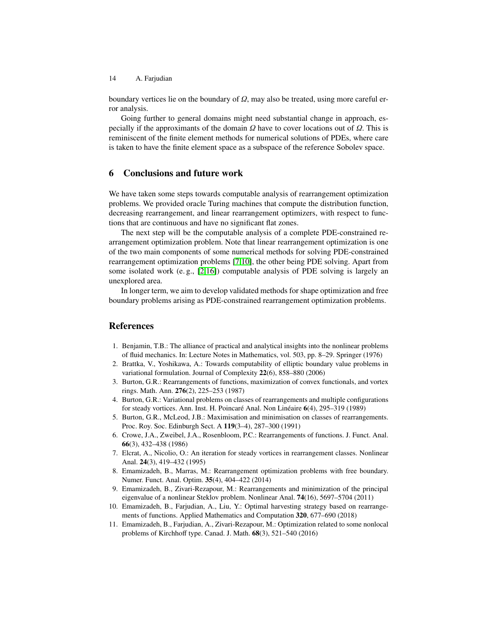boundary vertices lie on the boundary of  $\Omega$ , may also be treated, using more careful error analysis.

Going further to general domains might need substantial change in approach, especially if the approximants of the domain  $\Omega$  have to cover locations out of  $\Omega$ . This is reminiscent of the finite element methods for numerical solutions of PDEs, where care is taken to have the finite element space as a subspace of the reference Sobolev space.

# <span id="page-13-8"></span>6 Conclusions and future work

We have taken some steps towards computable analysis of rearrangement optimization problems. We provided oracle Turing machines that compute the distribution function, decreasing rearrangement, and linear rearrangement optimizers, with respect to functions that are continuous and have no significant flat zones.

The next step will be the computable analysis of a complete PDE-constrained rearrangement optimization problem. Note that linear rearrangement optimization is one of the two main components of some numerical methods for solving PDE-constrained rearrangement optimization problems [\[7,](#page-13-7)[10\]](#page-13-5), the other being PDE solving. Apart from some isolated work (e. g., [\[2,](#page-13-11)[16\]](#page-14-6)) computable analysis of PDE solving is largely an unexplored area.

In longer term, we aim to develop validated methods for shape optimization and free boundary problems arising as PDE-constrained rearrangement optimization problems.

# References

- <span id="page-13-0"></span>1. Benjamin, T.B.: The alliance of practical and analytical insights into the nonlinear problems of fluid mechanics. In: Lecture Notes in Mathematics, vol. 503, pp. 8–29. Springer (1976)
- <span id="page-13-11"></span>2. Brattka, V., Yoshikawa, A.: Towards computability of elliptic boundary value problems in variational formulation. Journal of Complexity 22(6), 858–880 (2006)
- <span id="page-13-1"></span>3. Burton, G.R.: Rearrangements of functions, maximization of convex functionals, and vortex rings. Math. Ann. 276(2), 225–253 (1987)
- <span id="page-13-9"></span>4. Burton, G.R.: Variational problems on classes of rearrangements and multiple configurations for steady vortices. Ann. Inst. H. Poincaré Anal. Non Linéaire 6(4), 295-319 (1989)
- <span id="page-13-2"></span>5. Burton, G.R., McLeod, J.B.: Maximisation and minimisation on classes of rearrangements. Proc. Roy. Soc. Edinburgh Sect. A 119(3–4), 287–300 (1991)
- <span id="page-13-10"></span>6. Crowe, J.A., Zweibel, J.A., Rosenbloom, P.C.: Rearrangements of functions. J. Funct. Anal. 66(3), 432–438 (1986)
- <span id="page-13-7"></span>7. Elcrat, A., Nicolio, O.: An iteration for steady vortices in rearrangement classes. Nonlinear Anal. 24(3), 419–432 (1995)
- <span id="page-13-3"></span>8. Emamizadeh, B., Marras, M.: Rearrangement optimization problems with free boundary. Numer. Funct. Anal. Optim. 35(4), 404–422 (2014)
- <span id="page-13-6"></span>9. Emamizadeh, B., Zivari-Rezapour, M.: Rearrangements and minimization of the principal eigenvalue of a nonlinear Steklov problem. Nonlinear Anal. 74(16), 5697–5704 (2011)
- <span id="page-13-5"></span>10. Emamizadeh, B., Farjudian, A., Liu, Y.: Optimal harvesting strategy based on rearrangements of functions. Applied Mathematics and Computation 320, 677–690 (2018)
- <span id="page-13-4"></span>11. Emamizadeh, B., Farjudian, A., Zivari-Rezapour, M.: Optimization related to some nonlocal problems of Kirchhoff type. Canad. J. Math. 68(3), 521–540 (2016)